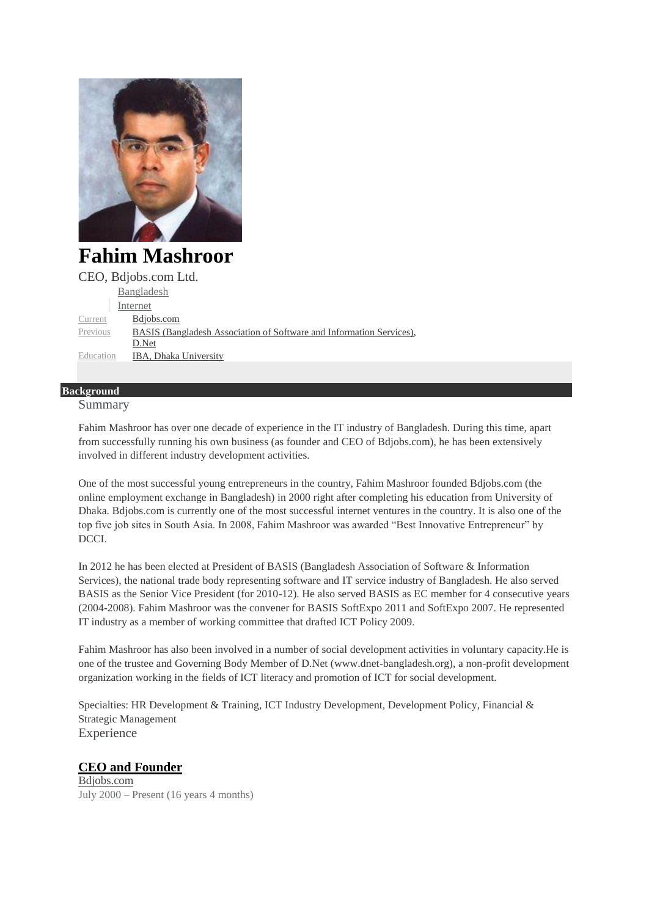

**Fahim Mashroor** CEO, Bdjobs.com Ltd. [Bangladesh](https://www.linkedin.com/vsearch/p?countryCode=bd&trk=prof-0-ovw-location) [Internet](https://www.linkedin.com/vsearch/p?f_I=6&trk=prof-0-ovw-industry) [Current](https://www.linkedin.com/in/fahimmashroor?trk=pub-pbmap#background-experience) [Bdjobs.com](https://www.linkedin.com/company/1339334?trk=prof-0-ovw-curr_pos) [Previous](https://www.linkedin.com/in/fahimmashroor?trk=pub-pbmap#background-experience) BASIS [\(Bangladesh](https://www.linkedin.com/company/399742?trk=prof-0-ovw-prev_pos) Association of Software and Information Services), [D.Net](https://www.linkedin.com/vsearch/p?company=D%2ENet&trk=prof-0-ovw-prev_pos) [Education](https://www.linkedin.com/in/fahimmashroor?trk=pub-pbmap#background-education) IBA, Dhaka [University](https://www.linkedin.com/edu/alumni?name=IBA%2C+Dhaka+University&trk=prof-edu-school-name)

#### **Background**

Summary

Fahim Mashroor has over one decade of experience in the IT industry of Bangladesh. During this time, apart from successfully running his own business (as founder and CEO of Bdjobs.com), he has been extensively involved in different industry development activities.

One of the most successful young entrepreneurs in the country, Fahim Mashroor founded Bdjobs.com (the online employment exchange in Bangladesh) in 2000 right after completing his education from University of Dhaka. Bdjobs.com is currently one of the most successful internet ventures in the country. It is also one of the top five job sites in South Asia. In 2008, Fahim Mashroor was awarded "Best Innovative Entrepreneur" by DCCI.

In 2012 he has been elected at President of BASIS (Bangladesh Association of Software & Information Services), the national trade body representing software and IT service industry of Bangladesh. He also served BASIS as the Senior Vice President (for 2010-12). He also served BASIS as EC member for 4 consecutive years (2004-2008). Fahim Mashroor was the convener for BASIS SoftExpo 2011 and SoftExpo 2007. He represented IT industry as a member of working committee that drafted ICT Policy 2009.

Fahim Mashroor has also been involved in a number of social development activities in voluntary capacity.He is one of the trustee and Governing Body Member of D.Net (www.dnet-bangladesh.org), a non-profit development organization working in the fields of ICT literacy and promotion of ICT for social development.

Specialties: HR Development & Training, ICT Industry Development, Development Policy, Financial & Strategic Management Experience

## **CEO and [Founder](https://www.linkedin.com/title/ceo-and-founder?trk=mprofile_title)**

[Bdjobs.com](https://www.linkedin.com/company/1339334?trk=prof-exp-company-name) July 2000 – Present (16 years 4 months)